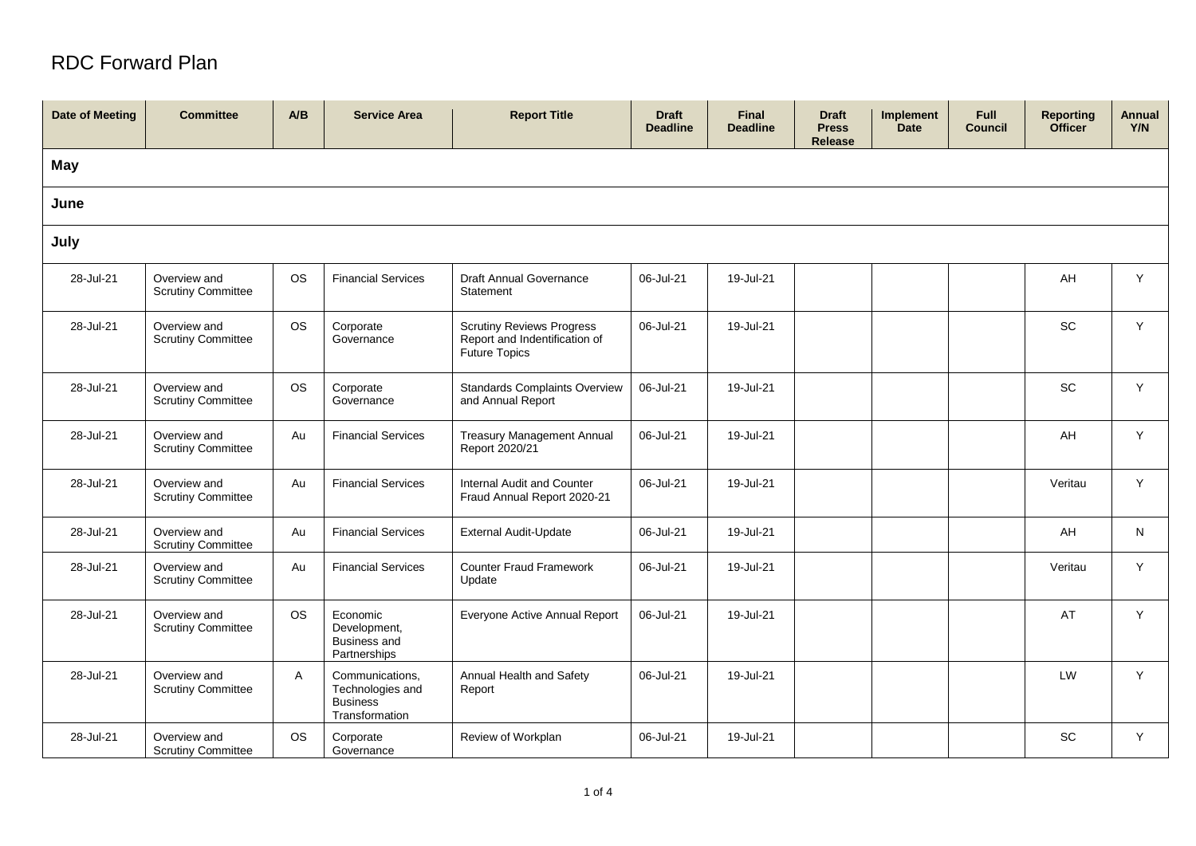## RDC Forward Plan

| <b>Date of Meeting</b> | <b>Committee</b>                          | A/B       | <b>Service Area</b>                                                      | <b>Report Title</b>                                                                       | <b>Draft</b><br><b>Deadline</b> | <b>Final</b><br><b>Deadline</b> | <b>Draft</b><br><b>Press</b><br><b>Release</b> | Implement<br><b>Date</b> | Full<br><b>Council</b> | <b>Reporting</b><br><b>Officer</b> | Annual<br>Y/N |
|------------------------|-------------------------------------------|-----------|--------------------------------------------------------------------------|-------------------------------------------------------------------------------------------|---------------------------------|---------------------------------|------------------------------------------------|--------------------------|------------------------|------------------------------------|---------------|
| <b>May</b>             |                                           |           |                                                                          |                                                                                           |                                 |                                 |                                                |                          |                        |                                    |               |
| June                   |                                           |           |                                                                          |                                                                                           |                                 |                                 |                                                |                          |                        |                                    |               |
| July                   |                                           |           |                                                                          |                                                                                           |                                 |                                 |                                                |                          |                        |                                    |               |
| 28-Jul-21              | Overview and<br><b>Scrutiny Committee</b> | <b>OS</b> | <b>Financial Services</b>                                                | <b>Draft Annual Governance</b><br>Statement                                               | 06-Jul-21                       | 19-Jul-21                       |                                                |                          |                        | AH                                 | Y             |
| 28-Jul-21              | Overview and<br><b>Scrutiny Committee</b> | <b>OS</b> | Corporate<br>Governance                                                  | <b>Scrutiny Reviews Progress</b><br>Report and Indentification of<br><b>Future Topics</b> | 06-Jul-21                       | 19-Jul-21                       |                                                |                          |                        | SC                                 | Y             |
| 28-Jul-21              | Overview and<br><b>Scrutiny Committee</b> | <b>OS</b> | Corporate<br>Governance                                                  | <b>Standards Complaints Overview</b><br>and Annual Report                                 | 06-Jul-21                       | 19-Jul-21                       |                                                |                          |                        | SC                                 | Y             |
| 28-Jul-21              | Overview and<br><b>Scrutiny Committee</b> | Au        | <b>Financial Services</b>                                                | <b>Treasury Management Annual</b><br>Report 2020/21                                       | 06-Jul-21                       | 19-Jul-21                       |                                                |                          |                        | AH                                 | Y             |
| 28-Jul-21              | Overview and<br><b>Scrutiny Committee</b> | Au        | <b>Financial Services</b>                                                | Internal Audit and Counter<br>Fraud Annual Report 2020-21                                 | 06-Jul-21                       | 19-Jul-21                       |                                                |                          |                        | Veritau                            | Y             |
| 28-Jul-21              | Overview and<br><b>Scrutiny Committee</b> | Au        | <b>Financial Services</b>                                                | <b>External Audit-Update</b>                                                              | 06-Jul-21                       | 19-Jul-21                       |                                                |                          |                        | AH                                 | N             |
| 28-Jul-21              | Overview and<br><b>Scrutiny Committee</b> | Au        | <b>Financial Services</b>                                                | <b>Counter Fraud Framework</b><br>Update                                                  | 06-Jul-21                       | 19-Jul-21                       |                                                |                          |                        | Veritau                            | Y             |
| 28-Jul-21              | Overview and<br><b>Scrutiny Committee</b> | <b>OS</b> | Economic<br>Development,<br><b>Business and</b><br>Partnerships          | Everyone Active Annual Report                                                             | 06-Jul-21                       | 19-Jul-21                       |                                                |                          |                        | AT                                 | Y             |
| 28-Jul-21              | Overview and<br><b>Scrutiny Committee</b> | Α         | Communications,<br>Technologies and<br><b>Business</b><br>Transformation | Annual Health and Safety<br>Report                                                        | 06-Jul-21                       | 19-Jul-21                       |                                                |                          |                        | LW                                 | Y             |
| 28-Jul-21              | Overview and<br><b>Scrutiny Committee</b> | <b>OS</b> | Corporate<br>Governance                                                  | Review of Workplan                                                                        | 06-Jul-21                       | 19-Jul-21                       |                                                |                          |                        | $\operatorname{\textsf{SC}}$       | Y             |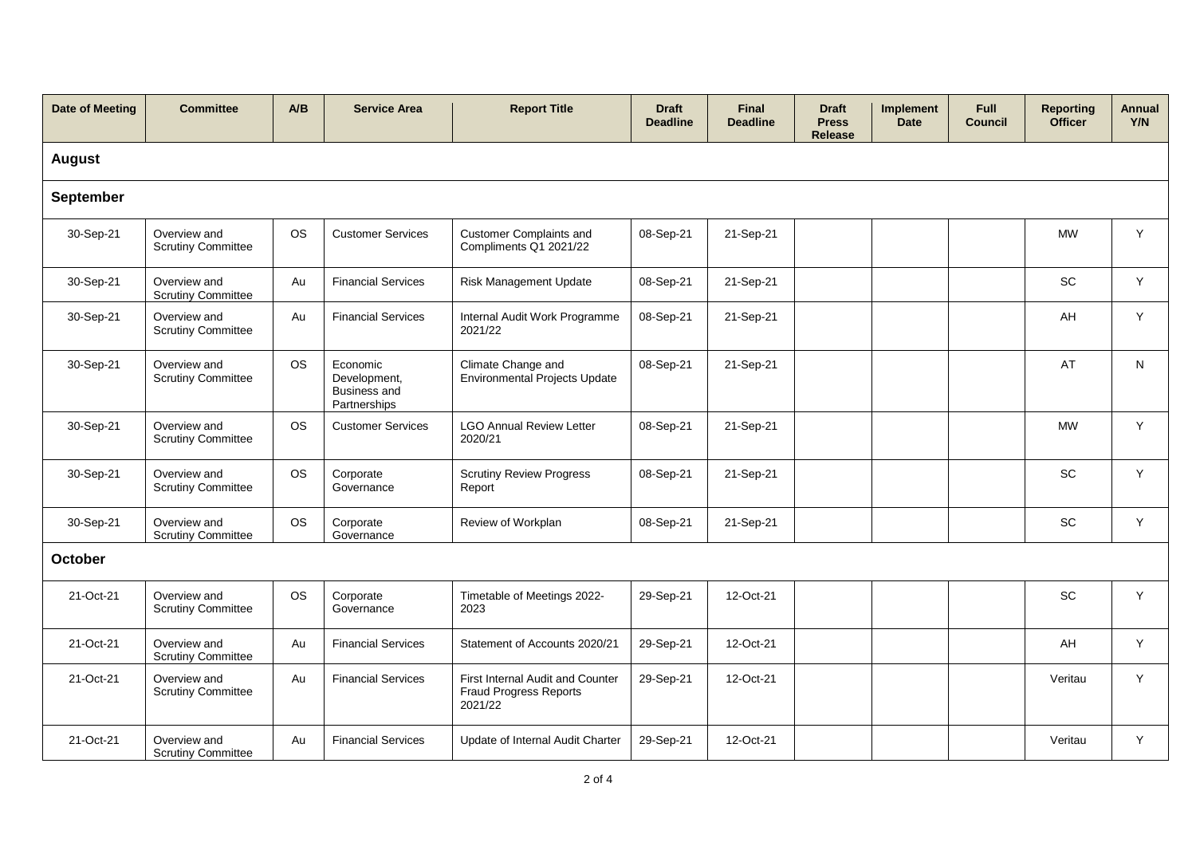| <b>Date of Meeting</b> | <b>Committee</b>                          | A/B       | <b>Service Area</b>                                      | <b>Report Title</b>                                                          | <b>Draft</b><br><b>Deadline</b> | <b>Final</b><br><b>Deadline</b> | <b>Draft</b><br><b>Press</b><br><b>Release</b> | Implement<br><b>Date</b> | <b>Full</b><br><b>Council</b> | <b>Reporting</b><br><b>Officer</b> | Annual<br>Y/N |
|------------------------|-------------------------------------------|-----------|----------------------------------------------------------|------------------------------------------------------------------------------|---------------------------------|---------------------------------|------------------------------------------------|--------------------------|-------------------------------|------------------------------------|---------------|
| <b>August</b>          |                                           |           |                                                          |                                                                              |                                 |                                 |                                                |                          |                               |                                    |               |
| September              |                                           |           |                                                          |                                                                              |                                 |                                 |                                                |                          |                               |                                    |               |
| 30-Sep-21              | Overview and<br><b>Scrutiny Committee</b> | <b>OS</b> | <b>Customer Services</b>                                 | <b>Customer Complaints and</b><br>Compliments Q1 2021/22                     | 08-Sep-21                       | 21-Sep-21                       |                                                |                          |                               | <b>MW</b>                          | Y             |
| 30-Sep-21              | Overview and<br><b>Scrutiny Committee</b> | Au        | <b>Financial Services</b>                                | Risk Management Update                                                       | 08-Sep-21                       | 21-Sep-21                       |                                                |                          |                               | <b>SC</b>                          | Y             |
| 30-Sep-21              | Overview and<br><b>Scrutiny Committee</b> | Au        | <b>Financial Services</b>                                | Internal Audit Work Programme<br>2021/22                                     | 08-Sep-21                       | 21-Sep-21                       |                                                |                          |                               | AH                                 | Y             |
| 30-Sep-21              | Overview and<br><b>Scrutiny Committee</b> | <b>OS</b> | Economic<br>Development,<br>Business and<br>Partnerships | Climate Change and<br>Environmental Projects Update                          | 08-Sep-21                       | 21-Sep-21                       |                                                |                          |                               | AT                                 | N             |
| 30-Sep-21              | Overview and<br><b>Scrutiny Committee</b> | <b>OS</b> | <b>Customer Services</b>                                 | <b>LGO Annual Review Letter</b><br>2020/21                                   | 08-Sep-21                       | 21-Sep-21                       |                                                |                          |                               | <b>MW</b>                          | Y             |
| 30-Sep-21              | Overview and<br><b>Scrutiny Committee</b> | <b>OS</b> | Corporate<br>Governance                                  | <b>Scrutiny Review Progress</b><br>Report                                    | 08-Sep-21                       | 21-Sep-21                       |                                                |                          |                               | SC                                 | Y             |
| 30-Sep-21              | Overview and<br><b>Scrutiny Committee</b> | <b>OS</b> | Corporate<br>Governance                                  | Review of Workplan                                                           | 08-Sep-21                       | 21-Sep-21                       |                                                |                          |                               | SC                                 | Y             |
| October                |                                           |           |                                                          |                                                                              |                                 |                                 |                                                |                          |                               |                                    |               |
| 21-Oct-21              | Overview and<br><b>Scrutiny Committee</b> | <b>OS</b> | Corporate<br>Governance                                  | Timetable of Meetings 2022-<br>2023                                          | 29-Sep-21                       | 12-Oct-21                       |                                                |                          |                               | SC                                 | Y             |
| 21-Oct-21              | Overview and<br><b>Scrutiny Committee</b> | Au        | <b>Financial Services</b>                                | Statement of Accounts 2020/21                                                | 29-Sep-21                       | 12-Oct-21                       |                                                |                          |                               | AH                                 | Y             |
| 21-Oct-21              | Overview and<br><b>Scrutiny Committee</b> | Au        | <b>Financial Services</b>                                | First Internal Audit and Counter<br><b>Fraud Progress Reports</b><br>2021/22 | 29-Sep-21                       | 12-Oct-21                       |                                                |                          |                               | Veritau                            | Y             |
| 21-Oct-21              | Overview and<br><b>Scrutiny Committee</b> | Au        | <b>Financial Services</b>                                | Update of Internal Audit Charter                                             | 29-Sep-21                       | 12-Oct-21                       |                                                |                          |                               | Veritau                            | Y             |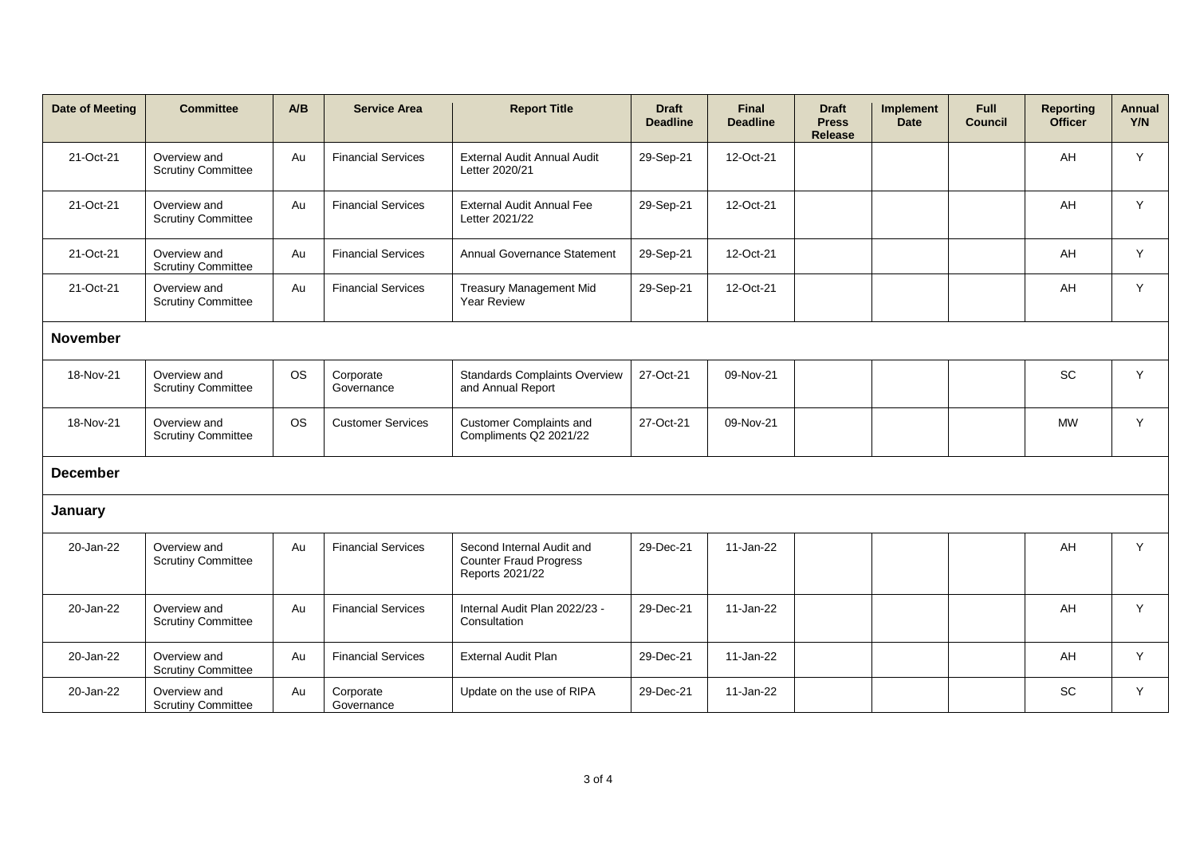| Date of Meeting | <b>Committee</b>                          | A/B       | <b>Service Area</b>       | <b>Report Title</b>                                                           | <b>Draft</b><br><b>Deadline</b> | <b>Final</b><br><b>Deadline</b> | <b>Draft</b><br><b>Press</b><br><b>Release</b> | Implement<br><b>Date</b> | <b>Full</b><br><b>Council</b> | <b>Reporting</b><br><b>Officer</b> | <b>Annual</b><br>Y/N |
|-----------------|-------------------------------------------|-----------|---------------------------|-------------------------------------------------------------------------------|---------------------------------|---------------------------------|------------------------------------------------|--------------------------|-------------------------------|------------------------------------|----------------------|
| 21-Oct-21       | Overview and<br><b>Scrutiny Committee</b> | Au        | <b>Financial Services</b> | External Audit Annual Audit<br>Letter 2020/21                                 | 29-Sep-21                       | 12-Oct-21                       |                                                |                          |                               | AH                                 | Y                    |
| 21-Oct-21       | Overview and<br><b>Scrutiny Committee</b> | Au        | <b>Financial Services</b> | <b>External Audit Annual Fee</b><br>Letter 2021/22                            | 29-Sep-21                       | 12-Oct-21                       |                                                |                          |                               | AH                                 | Y                    |
| 21-Oct-21       | Overview and<br><b>Scrutiny Committee</b> | Au        | <b>Financial Services</b> | Annual Governance Statement                                                   | 29-Sep-21                       | 12-Oct-21                       |                                                |                          |                               | AH                                 | Y                    |
| 21-Oct-21       | Overview and<br><b>Scrutiny Committee</b> | Au        | <b>Financial Services</b> | Treasury Management Mid<br><b>Year Review</b>                                 | 29-Sep-21                       | 12-Oct-21                       |                                                |                          |                               | AH                                 | Y                    |
| <b>November</b> |                                           |           |                           |                                                                               |                                 |                                 |                                                |                          |                               |                                    |                      |
| 18-Nov-21       | Overview and<br><b>Scrutiny Committee</b> | <b>OS</b> | Corporate<br>Governance   | <b>Standards Complaints Overview</b><br>and Annual Report                     | 27-Oct-21                       | 09-Nov-21                       |                                                |                          |                               | <b>SC</b>                          | Y                    |
| 18-Nov-21       | Overview and<br><b>Scrutiny Committee</b> | <b>OS</b> | <b>Customer Services</b>  | <b>Customer Complaints and</b><br>Compliments Q2 2021/22                      | 27-Oct-21                       | 09-Nov-21                       |                                                |                          |                               | <b>MW</b>                          | Y                    |
| <b>December</b> |                                           |           |                           |                                                                               |                                 |                                 |                                                |                          |                               |                                    |                      |
| January         |                                           |           |                           |                                                                               |                                 |                                 |                                                |                          |                               |                                    |                      |
| 20-Jan-22       | Overview and<br><b>Scrutiny Committee</b> | Au        | <b>Financial Services</b> | Second Internal Audit and<br><b>Counter Fraud Progress</b><br>Reports 2021/22 | 29-Dec-21                       | 11-Jan-22                       |                                                |                          |                               | AH                                 | Y                    |
| 20-Jan-22       | Overview and<br><b>Scrutiny Committee</b> | Au        | <b>Financial Services</b> | Internal Audit Plan 2022/23 -<br>Consultation                                 | 29-Dec-21                       | 11-Jan-22                       |                                                |                          |                               | AH                                 | Y                    |
| 20-Jan-22       | Overview and<br><b>Scrutiny Committee</b> | Au        | <b>Financial Services</b> | <b>External Audit Plan</b>                                                    | 29-Dec-21                       | 11-Jan-22                       |                                                |                          |                               | AH                                 | Y                    |
| 20-Jan-22       | Overview and<br><b>Scrutiny Committee</b> | Au        | Corporate<br>Governance   | Update on the use of RIPA                                                     | 29-Dec-21                       | 11-Jan-22                       |                                                |                          |                               | <b>SC</b>                          | Y                    |